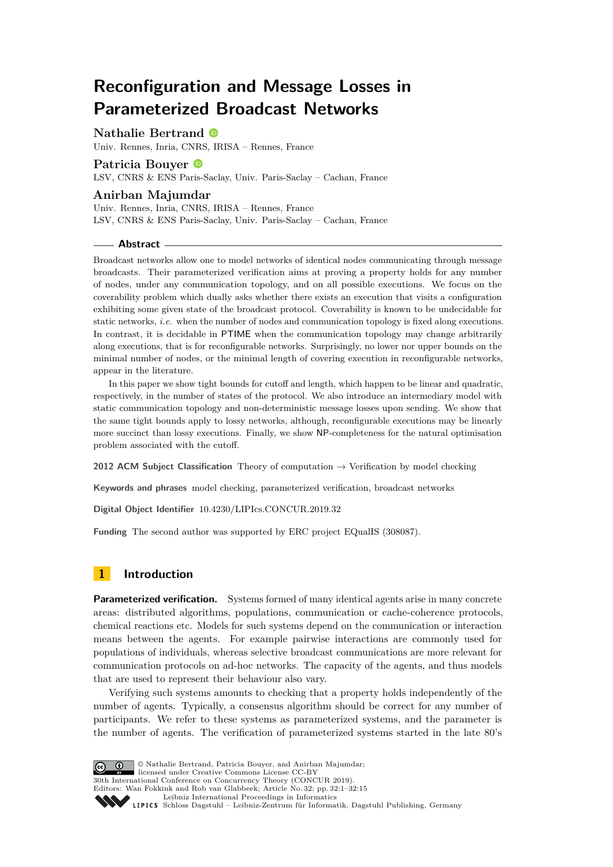# **Reconfiguration and Message Losses in Parameterized Broadcast Networks**

# **Nathalie Bertrand**

Univ. Rennes, Inria, CNRS, IRISA – Rennes, France

# **Patricia Bouyer**

LSV, CNRS & ENS Paris-Saclay, Univ. Paris-Saclay – Cachan, France

### **Anirban Majumdar**

Univ. Rennes, Inria, CNRS, IRISA – Rennes, France LSV, CNRS & ENS Paris-Saclay, Univ. Paris-Saclay – Cachan, France

### **Abstract**

Broadcast networks allow one to model networks of identical nodes communicating through message broadcasts. Their parameterized verification aims at proving a property holds for any number of nodes, under any communication topology, and on all possible executions. We focus on the coverability problem which dually asks whether there exists an execution that visits a configuration exhibiting some given state of the broadcast protocol. Coverability is known to be undecidable for static networks, *i.e.* when the number of nodes and communication topology is fixed along executions. In contrast, it is decidable in PTIME when the communication topology may change arbitrarily along executions, that is for reconfigurable networks. Surprisingly, no lower nor upper bounds on the minimal number of nodes, or the minimal length of covering execution in reconfigurable networks, appear in the literature.

In this paper we show tight bounds for cutoff and length, which happen to be linear and quadratic, respectively, in the number of states of the protocol. We also introduce an intermediary model with static communication topology and non-deterministic message losses upon sending. We show that the same tight bounds apply to lossy networks, although, reconfigurable executions may be linearly more succinct than lossy executions. Finally, we show NP-completeness for the natural optimisation problem associated with the cutoff.

**2012 ACM Subject Classification** Theory of computation → Verification by model checking

**Keywords and phrases** model checking, parameterized verification, broadcast networks

**Digital Object Identifier** [10.4230/LIPIcs.CONCUR.2019.32](https://doi.org/10.4230/LIPIcs.CONCUR.2019.32)

**Funding** The second author was supported by ERC project EQualIS (308087).

# **1 Introduction**

**Parameterized verification.** Systems formed of many identical agents arise in many concrete areas: distributed algorithms, populations, communication or cache-coherence protocols, chemical reactions etc. Models for such systems depend on the communication or interaction means between the agents. For example pairwise interactions are commonly used for populations of individuals, whereas selective broadcast communications are more relevant for communication protocols on ad-hoc networks. The capacity of the agents, and thus models that are used to represent their behaviour also vary.

Verifying such systems amounts to checking that a property holds independently of the number of agents. Typically, a consensus algorithm should be correct for any number of participants. We refer to these systems as parameterized systems, and the parameter is the number of agents. The verification of parameterized systems started in the late 80's

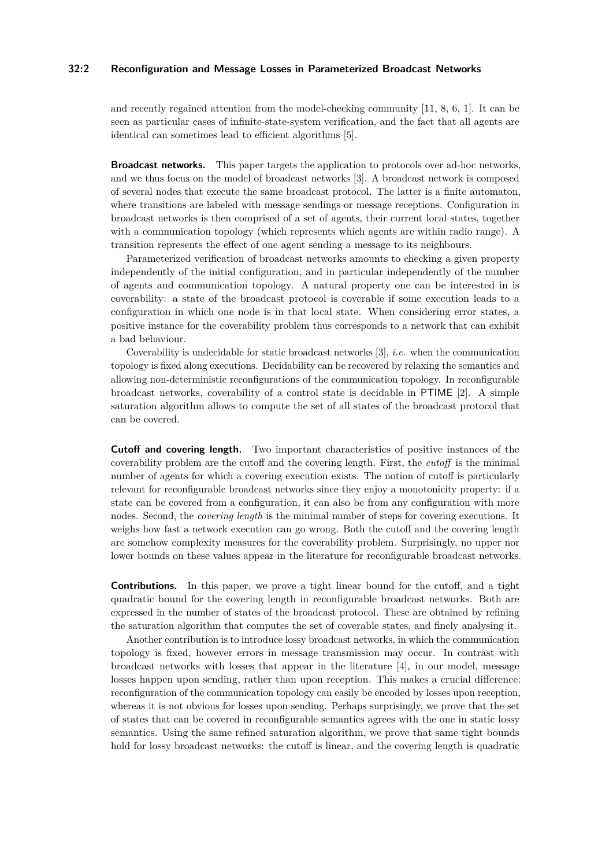# **32:2 Reconfiguration and Message Losses in Parameterized Broadcast Networks**

and recently regained attention from the model-checking community [\[11,](#page-14-1) [8,](#page-14-2) [6,](#page-14-3) [1\]](#page-13-0). It can be seen as particular cases of infinite-state-system verification, and the fact that all agents are identical can sometimes lead to efficient algorithms [\[5\]](#page-14-4).

**Broadcast networks.** This paper targets the application to protocols over ad-hoc networks, and we thus focus on the model of broadcast networks [\[3\]](#page-14-5). A broadcast network is composed of several nodes that execute the same broadcast protocol. The latter is a finite automaton, where transitions are labeled with message sendings or message receptions. Configuration in broadcast networks is then comprised of a set of agents, their current local states, together with a communication topology (which represents which agents are within radio range). A transition represents the effect of one agent sending a message to its neighbours.

Parameterized verification of broadcast networks amounts to checking a given property independently of the initial configuration, and in particular independently of the number of agents and communication topology. A natural property one can be interested in is coverability: a state of the broadcast protocol is coverable if some execution leads to a configuration in which one node is in that local state. When considering error states, a positive instance for the coverability problem thus corresponds to a network that can exhibit a bad behaviour.

Coverability is undecidable for static broadcast networks [\[3\]](#page-14-5), *i.e.* when the communication topology is fixed along executions. Decidability can be recovered by relaxing the semantics and allowing non-deterministic reconfigurations of the communication topology. In reconfigurable broadcast networks, coverability of a control state is decidable in PTIME [\[2\]](#page-14-6). A simple saturation algorithm allows to compute the set of all states of the broadcast protocol that can be covered.

**Cutoff and covering length.** Two important characteristics of positive instances of the coverability problem are the cutoff and the covering length. First, the *cutoff* is the minimal number of agents for which a covering execution exists. The notion of cutoff is particularly relevant for reconfigurable broadcast networks since they enjoy a monotonicity property: if a state can be covered from a configuration, it can also be from any configuration with more nodes. Second, the *covering length* is the minimal number of steps for covering executions. It weighs how fast a network execution can go wrong. Both the cutoff and the covering length are somehow complexity measures for the coverability problem. Surprisingly, no upper nor lower bounds on these values appear in the literature for reconfigurable broadcast networks.

**Contributions.** In this paper, we prove a tight linear bound for the cutoff, and a tight quadratic bound for the covering length in reconfigurable broadcast networks. Both are expressed in the number of states of the broadcast protocol. These are obtained by refining the saturation algorithm that computes the set of coverable states, and finely analysing it.

Another contribution is to introduce lossy broadcast networks, in which the communication topology is fixed, however errors in message transmission may occur. In contrast with broadcast networks with losses that appear in the literature [\[4\]](#page-14-7), in our model, message losses happen upon sending, rather than upon reception. This makes a crucial difference: reconfiguration of the communication topology can easily be encoded by losses upon reception, whereas it is not obvious for losses upon sending. Perhaps surprisingly, we prove that the set of states that can be covered in reconfigurable semantics agrees with the one in static lossy semantics. Using the same refined saturation algorithm, we prove that same tight bounds hold for lossy broadcast networks: the cutoff is linear, and the covering length is quadratic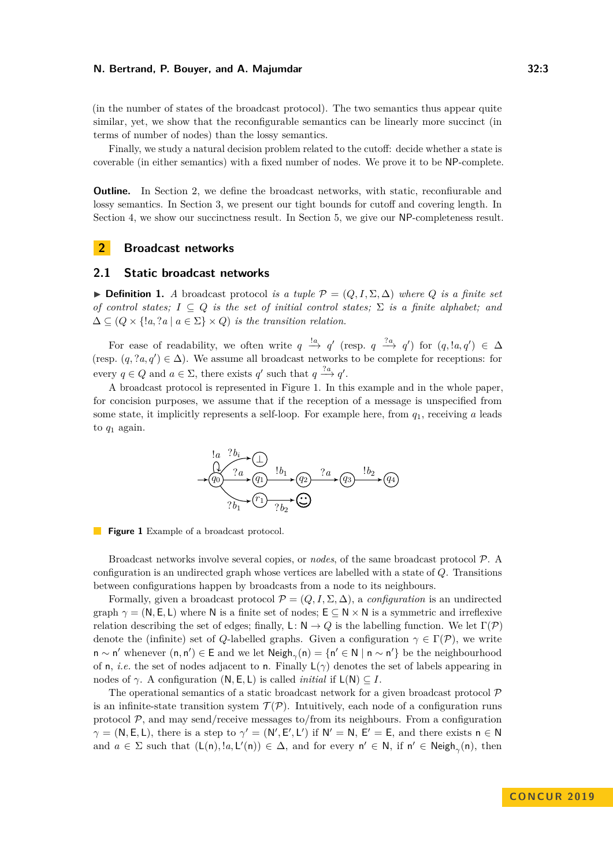(in the number of states of the broadcast protocol). The two semantics thus appear quite similar, yet, we show that the reconfigurable semantics can be linearly more succinct (in terms of number of nodes) than the lossy semantics.

Finally, we study a natural decision problem related to the cutoff: decide whether a state is coverable (in either semantics) with a fixed number of nodes. We prove it to be NP-complete.

**Outline.** In Section [2,](#page-2-0) we define the broadcast networks, with static, reconfiurable and lossy semantics. In Section [3,](#page-5-0) we present our tight bounds for cutoff and covering length. In Section [4,](#page-11-0) we show our succinctness result. In Section [5,](#page-12-0) we give our NP-completeness result.

# <span id="page-2-0"></span>**2 Broadcast networks**

# **2.1 Static broadcast networks**

**► Definition 1.** *A* broadcast protocol *is a tuple*  $\mathcal{P} = (Q, I, \Sigma, \Delta)$  *where Q is a finite set of control states;*  $I \subseteq Q$  *is the set of initial control states;*  $\Sigma$  *is a finite alphabet; and*  $\Delta \subseteq (Q \times \{ \lvert a, \lvert a \in \Sigma \} \times Q)$  *is the transition relation.* 

For ease of readability, we often write  $q \stackrel{!a}{\rightarrow} q'$  (resp.  $q \stackrel{?a}{\rightarrow} q'$ ) for  $(q, !a, q') \in \Delta$ (resp.  $(q, ?a, q') \in \Delta$ ). We assume all broadcast networks to be complete for receptions: for every  $q \in Q$  and  $a \in \Sigma$ , there exists  $q'$  such that  $q \stackrel{?a}{\longrightarrow} q'$ .

<span id="page-2-1"></span>A broadcast protocol is represented in Figure [1.](#page-2-1) In this example and in the whole paper, for concision purposes, we assume that if the reception of a message is unspecified from some state, it implicitly represents a self-loop. For example here, from *q*1, receiving *a* leads to  $q_1$  again.

*q*<sup>0</sup> *q*<sup>1</sup> *q*<sup>2</sup> *q*<sup>3</sup> *q*<sup>4</sup> *r*1 ⊥ !*a* ?*a* !*b*<sup>1</sup> ?*a* !*b*<sup>2</sup> ?*b*<sup>1</sup> ?*b*<sup>2</sup> ?*b<sup>i</sup>*



Broadcast networks involve several copies, or *nodes*, of the same broadcast protocol P. A configuration is an undirected graph whose vertices are labelled with a state of *Q*. Transitions between configurations happen by broadcasts from a node to its neighbours.

Formally, given a broadcast protocol  $\mathcal{P} = (Q, I, \Sigma, \Delta)$ , a *configuration* is an undirected graph  $\gamma = (N, E, L)$  where N is a finite set of nodes;  $E \subseteq N \times N$  is a symmetric and irreflexive relation describing the set of edges; finally, L:  $N \to Q$  is the labelling function. We let  $\Gamma(\mathcal{P})$ denote the (infinite) set of *Q*-labelled graphs. Given a configuration  $\gamma \in \Gamma(\mathcal{P})$ , we write n ∼ n' whenever (n, n') ∈ E and we let  $\mathsf{Neigh}_{\gamma}(n) = \{n' \in \mathbb{N} \mid n \sim n'\}$  be the neighbourhood of n, *i.e.* the set of nodes adjacent to n. Finally  $L(\gamma)$  denotes the set of labels appearing in nodes of  $\gamma$ . A configuration  $(N, E, L)$  is called *initial* if  $L(N) \subseteq I$ .

The operational semantics of a static broadcast network for a given broadcast protocol  $\mathcal P$ is an infinite-state transition system  $\mathcal{T}(\mathcal{P})$ . Intuitively, each node of a configuration runs protocol  $P$ , and may send/receive messages to/from its neighbours. From a configuration  $\gamma = (N, E, L)$ , there is a step to  $\gamma' = (N', E', L')$  if  $N' = N$ ,  $E' = E$ , and there exists  $n \in N$ and  $a \in \Sigma$  such that  $(L(n), !a, L'(n)) \in \Delta$ , and for every  $n' \in N$ , if  $n' \in Neigh_{\gamma}(n)$ , then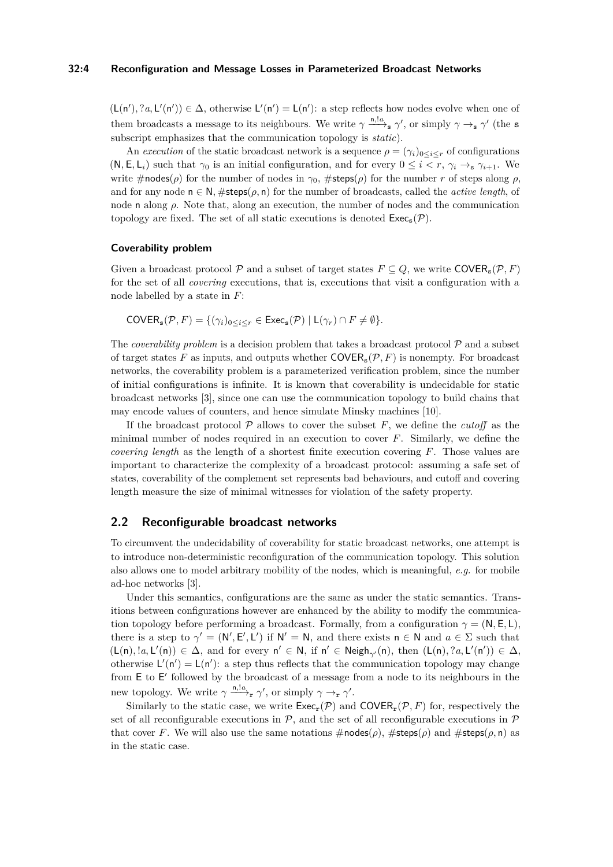# **32:4 Reconfiguration and Message Losses in Parameterized Broadcast Networks**

 $(L(n'), ?a, L'(n')) \in \Delta$ , otherwise  $L'(n') = L(n')$ : a step reflects how nodes evolve when one of them broadcasts a message to its neighbours. We write  $\gamma \xrightarrow{n, la} \gamma'$ , or simply  $\gamma \rightarrow_s \gamma'$  (the s subscript emphasizes that the communication topology is *static*).

An *execution* of the static broadcast network is a sequence  $\rho = (\gamma_i)_{0 \leq i \leq r}$  of configurations  $(N, E, L_i)$  such that  $\gamma_0$  is an initial configuration, and for every  $0 \leq i \leq r$ ,  $\gamma_i \rightarrow_s \gamma_{i+1}$ . We write  $\#$ nodes( $\rho$ ) for the number of nodes in  $\gamma_0$ ,  $\#$ steps( $\rho$ ) for the number *r* of steps along  $\rho$ , and for any node  $n \in \mathbb{N}$ , #steps( $\rho$ , n) for the number of broadcasts, called the *active length*, of node n along *ρ*. Note that, along an execution, the number of nodes and the communication topology are fixed. The set of all static executions is denoted  $\text{Exec}_s(\mathcal{P})$ .

### **Coverability problem**

Given a broadcast protocol P and a subset of target states  $F \subseteq Q$ , we write COVER<sub>s</sub>(P, F) for the set of all *covering* executions, that is, executions that visit a configuration with a node labelled by a state in *F*:

$$
\mathsf{COVER}_s(\mathcal{P}, F) = \{(\gamma_i)_{0 \le i \le r} \in \mathsf{Exec}_s(\mathcal{P}) \mid L(\gamma_r) \cap F \neq \emptyset\}.
$$

The *coverability problem* is a decision problem that takes a broadcast protocol  $P$  and a subset of target states F as inputs, and outputs whether  $\text{COVER}_s(\mathcal{P}, F)$  is nonempty. For broadcast networks, the coverability problem is a parameterized verification problem, since the number of initial configurations is infinite. It is known that coverability is undecidable for static broadcast networks [\[3\]](#page-14-5), since one can use the communication topology to build chains that may encode values of counters, and hence simulate Minsky machines [\[10\]](#page-14-8).

If the broadcast protocol  $P$  allows to cover the subset  $F$ , we define the *cutoff* as the minimal number of nodes required in an execution to cover *F*. Similarly, we define the *covering length* as the length of a shortest finite execution covering *F*. Those values are important to characterize the complexity of a broadcast protocol: assuming a safe set of states, coverability of the complement set represents bad behaviours, and cutoff and covering length measure the size of minimal witnesses for violation of the safety property.

# **2.2 Reconfigurable broadcast networks**

To circumvent the undecidability of coverability for static broadcast networks, one attempt is to introduce non-deterministic reconfiguration of the communication topology. This solution also allows one to model arbitrary mobility of the nodes, which is meaningful, *e.g.* for mobile ad-hoc networks [\[3\]](#page-14-5).

Under this semantics, configurations are the same as under the static semantics. Transitions between configurations however are enhanced by the ability to modify the communication topology before performing a broadcast. Formally, from a configuration  $\gamma = (N, E, L)$ , there is a step to  $\gamma' = (\mathsf{N}', \mathsf{E}', \mathsf{L}')$  if  $\mathsf{N}' = \mathsf{N}$ , and there exists  $\mathsf{n} \in \mathsf{N}$  and  $a \in \Sigma$  such that  $(L(n), !a, L'(n)) \in \Delta$ , and for every  $n' \in N$ , if  $n' \in Neigh_{\gamma'}(n)$ , then  $(L(n), ?a, L'(n')) \in \Delta$ , otherwise  $L'(n') = L(n')$ : a step thus reflects that the communication topology may change from E to E' followed by the broadcast of a message from a node to its neighbours in the new topology. We write  $\gamma \xrightarrow{\text{n,}!a} \gamma'$ , or simply  $\gamma \rightarrow_r \gamma'$ .

Similarly to the static case, we write  $\mathsf{Exec}_r(\mathcal{P})$  and  $\mathsf{COVER}_r(\mathcal{P}, F)$  for, respectively the set of all reconfigurable executions in  $\mathcal{P}$ , and the set of all reconfigurable executions in  $\mathcal{P}$ that cover *F*. We will also use the same notations  $\#$ nodes( $\rho$ ),  $\#$ steps( $\rho$ ) and  $\#$ steps( $\rho$ , n) as in the static case.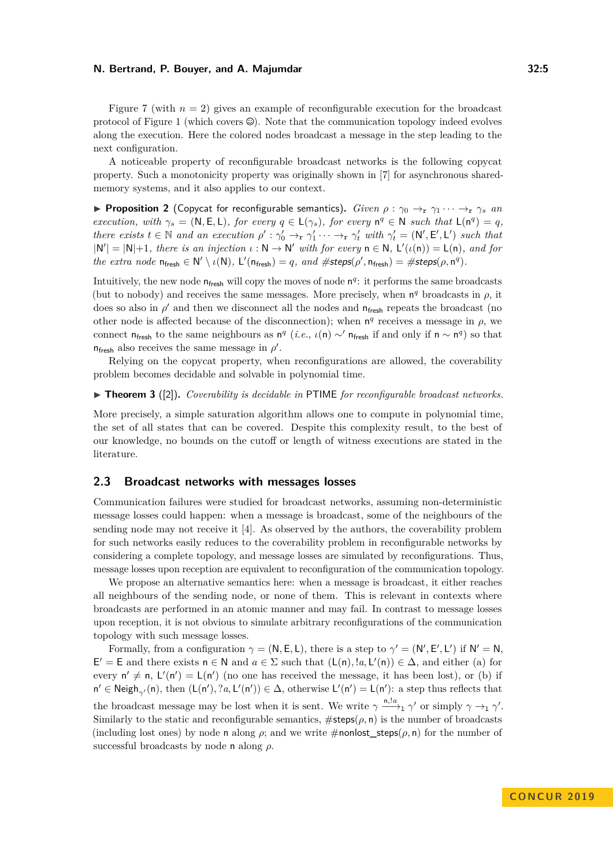Figure [7](#page-12-1) (with  $n = 2$ ) gives an example of reconfigurable execution for the broadcast protocol of Figure [1](#page-2-1) (which covers  $\mathcal{O}$ ). Note that the communication topology indeed evolves along the execution. Here the colored nodes broadcast a message in the step leading to the next configuration.

A noticeable property of reconfigurable broadcast networks is the following copycat property. Such a monotonicity property was originally shown in [\[7\]](#page-14-9) for asynchronous sharedmemory systems, and it also applies to our context.

<span id="page-4-0"></span>**Proposition 2** (Copycat for reconfigurable semantics). *Given*  $\rho : \gamma_0 \to_\mathbf{r} \gamma_1 \cdots \to_\mathbf{r} \gamma_s$  *an execution, with*  $\gamma_s = (\mathsf{N}, \mathsf{E}, \mathsf{L})$ *, for every*  $q \in \mathsf{L}(\gamma_s)$ *, for every*  $\mathsf{n}^q \in \mathsf{N}$  *such that*  $\mathsf{L}(\mathsf{n}^q) = q$ *, there exists*  $t \in \mathbb{N}$  *and an execution*  $\rho' : \gamma_0' \to_\mathbf{r} \gamma_1' \cdots \to_\mathbf{r} \gamma_t'$  *with*  $\gamma_t' = (\mathsf{N}', \mathsf{E}', \mathsf{L}')$  *such that*  $|N'| = |N|+1$ *, there is an injection*  $\iota : N \to N'$  with for every  $n \in N$ ,  $L'(\iota(n)) = L(n)$ *, and for*  $the \text{ extra node } n_{\text{fresh}} \in \mathbb{N}' \setminus \iota(\mathbb{N}), \mathsf{L}'(n_{\text{fresh}}) = q, \text{ and } \# \text{steps}(\rho', n_{\text{fresh}}) = \# \text{steps}(\rho, n^q).$ 

Intuitively, the new node  $n_{\text{fresh}}$  will copy the moves of node  $n<sup>q</sup>$ : it performs the same broadcasts (but to nobody) and receives the same messages. More precisely, when  $n<sup>q</sup>$  broadcasts in  $\rho$ , it does so also in  $\rho'$  and then we disconnect all the nodes and  $n_{\text{free}}$  repeats the broadcast (no other node is affected because of the disconnection); when  $n<sup>q</sup>$  receives a message in  $\rho$ , we connect  $n_{\text{fresh}}$  to the same neighbours as  $n^q$  (*i.e.*,  $\iota(n) \sim' n_{\text{fresh}}$  if and only if  $n \sim n^q$ ) so that  $n_{\text{fresh}}$  also receives the same message in  $\rho'$ .

Relying on the copycat property, when reconfigurations are allowed, the coverability problem becomes decidable and solvable in polynomial time.

▶ **Theorem 3** ([\[2\]](#page-14-6)). *Coverability is decidable in* PTIME *for reconfigurable broadcast networks.* 

More precisely, a simple saturation algorithm allows one to compute in polynomial time, the set of all states that can be covered. Despite this complexity result, to the best of our knowledge, no bounds on the cutoff or length of witness executions are stated in the literature.

# **2.3 Broadcast networks with messages losses**

Communication failures were studied for broadcast networks, assuming non-deterministic message losses could happen: when a message is broadcast, some of the neighbours of the sending node may not receive it [\[4\]](#page-14-7). As observed by the authors, the coverability problem for such networks easily reduces to the coverability problem in reconfigurable networks by considering a complete topology, and message losses are simulated by reconfigurations. Thus, message losses upon reception are equivalent to reconfiguration of the communication topology.

We propose an alternative semantics here: when a message is broadcast, it either reaches all neighbours of the sending node, or none of them. This is relevant in contexts where broadcasts are performed in an atomic manner and may fail. In contrast to message losses upon reception, it is not obvious to simulate arbitrary reconfigurations of the communication topology with such message losses.

Formally, from a configuration  $\gamma = (N, E, L)$ , there is a step to  $\gamma' = (N', E', L')$  if  $N' = N$ ,  $E' = E$  and there exists  $n \in \mathbb{N}$  and  $a \in \Sigma$  such that  $(L(n), !a, L'(n)) \in \Delta$ , and either (a) for every  $n' \neq n$ ,  $L'(n') = L(n')$  (no one has received the message, it has been lost), or (b) if  $n' \in \text{Neigh}_{\gamma'}(n)$ , then  $(L(n'), ?a, L'(n')) \in \Delta$ , otherwise  $L'(n') = L(n')$ : a step thus reflects that the broadcast message may be lost when it is sent. We write  $\gamma \stackrel{\mathsf{n},!a}{\longrightarrow}_1 \gamma'$  or simply  $\gamma \to_1 \gamma'$ . Similarly to the static and reconfigurable semantics,  $\# \text{steps}(\rho, \eta)$  is the number of broadcasts (including lost ones) by node n along  $\rho$ ; and we write  $\#$ nonlost\_steps( $\rho$ , n) for the number of successful broadcasts by node n along *ρ*.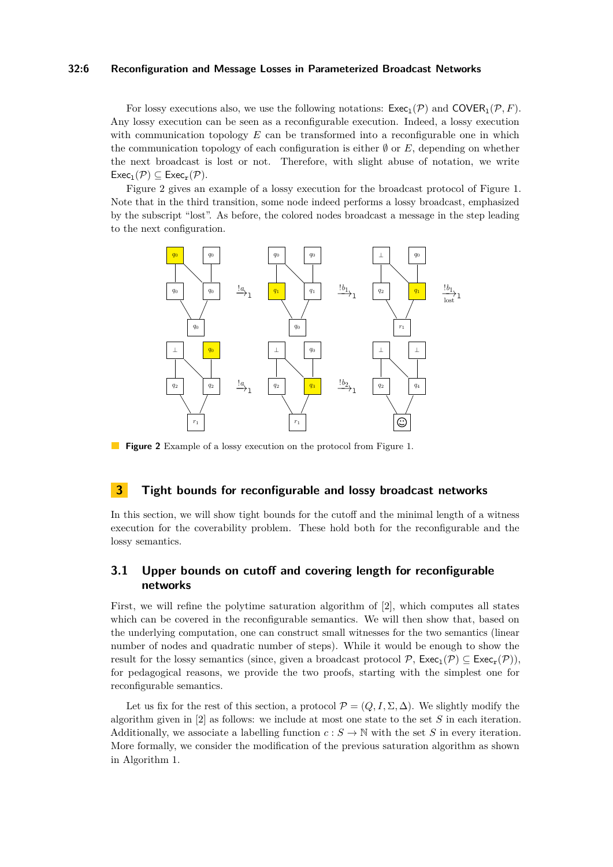## **32:6 Reconfiguration and Message Losses in Parameterized Broadcast Networks**

For lossy executions also, we use the following notations:  $\mathsf{Exec}_1(\mathcal{P})$  and  $\mathsf{COVER}_1(\mathcal{P}, F)$ . Any lossy execution can be seen as a reconfigurable execution. Indeed, a lossy execution with communication topology *E* can be transformed into a reconfigurable one in which the communication topology of each configuration is either  $\emptyset$  or  $E$ , depending on whether the next broadcast is lost or not. Therefore, with slight abuse of notation, we write  $\mathsf{Exec}_1(\mathcal{P}) \subseteq \mathsf{Exec}_r(\mathcal{P}).$ 

Figure [2](#page-5-1) gives an example of a lossy execution for the broadcast protocol of Figure [1.](#page-2-1) Note that in the third transition, some node indeed performs a lossy broadcast, emphasized by the subscript "lost". As before, the colored nodes broadcast a message in the step leading to the next configuration.

<span id="page-5-1"></span>

**Figure 2** Example of a lossy execution on the protocol from Figure [1.](#page-2-1)

# <span id="page-5-0"></span>**3 Tight bounds for reconfigurable and lossy broadcast networks**

In this section, we will show tight bounds for the cutoff and the minimal length of a witness execution for the coverability problem. These hold both for the reconfigurable and the lossy semantics.

# **3.1 Upper bounds on cutoff and covering length for reconfigurable networks**

First, we will refine the polytime saturation algorithm of [\[2\]](#page-14-6), which computes all states which can be covered in the reconfigurable semantics. We will then show that, based on the underlying computation, one can construct small witnesses for the two semantics (linear number of nodes and quadratic number of steps). While it would be enough to show the result for the lossy semantics (since, given a broadcast protocol  $\mathcal{P}$ ,  $\mathsf{Exec}_1(\mathcal{P}) \subset \mathsf{Exec}_r(\mathcal{P})$ ), for pedagogical reasons, we provide the two proofs, starting with the simplest one for reconfigurable semantics.

Let us fix for the rest of this section, a protocol  $\mathcal{P} = (Q, I, \Sigma, \Delta)$ . We slightly modify the algorithm given in [\[2\]](#page-14-6) as follows: we include at most one state to the set *S* in each iteration. Additionally, we associate a labelling function  $c : S \to \mathbb{N}$  with the set *S* in every iteration. More formally, we consider the modification of the previous saturation algorithm as shown in Algorithm [1.](#page-6-0)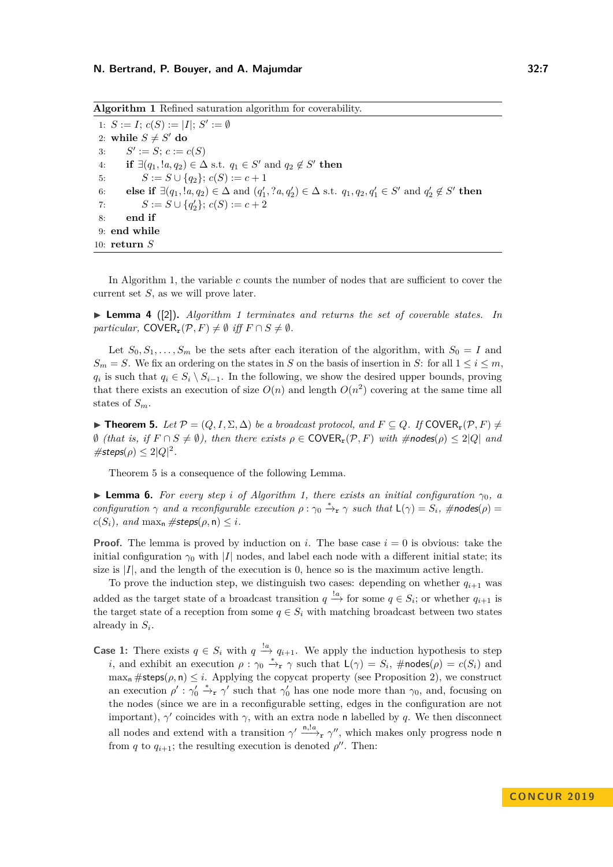<span id="page-6-0"></span>**Algorithm 1** Refined saturation algorithm for coverability. 1:  $S := I$ ;  $c(S) := |I|$ ;  $S' := \emptyset$ 2: while  $S \neq S'$  do 3: *S*  $' := S; c := c(S)$ 4: **if**  $\exists (q_1, !a, q_2) \in \Delta \text{ s.t. } q_1 \in S' \text{ and } q_2 \notin S' \text{ then}$ 5:  $S := S \cup \{q_2\}; c(S) := c + 1$ 6: **else if**  $\exists (q_1, !a, q_2) \in \Delta$  and  $(q'_1, ?a, q'_2) \in \Delta$  s.t.  $q_1, q_2, q'_1 \in S'$  and  $q'_2 \notin S'$  then 7:  $S := S \cup \{q'_2\}; c(S) := c + 2$ 8: **end if** 9: **end while** 10: **return** *S*

In Algorithm [1,](#page-6-0) the variable *c* counts the number of nodes that are sufficient to cover the current set *S*, as we will prove later.

<span id="page-6-3"></span>▶ **Lemma 4** ([\[2\]](#page-14-6)). *Algorithm [1](#page-6-0) terminates and returns the set of coverable states. In particular,* COVER<sub>r</sub> $(P, F) \neq \emptyset$  *iff*  $F \cap S \neq \emptyset$ *.* 

Let  $S_0, S_1, \ldots, S_m$  be the sets after each iteration of the algorithm, with  $S_0 = I$  and  $S_m = S$ . We fix an ordering on the states in *S* on the basis of insertion in *S*: for all  $1 \leq i \leq m$ , *q*<sub>*i*</sub> is such that *q*<sub>*i*</sub> ∈ *S*<sub>*i*</sub> \ *S*<sub>*i*−1</sub>. In the following, we show the desired upper bounds, proving that there exists an execution of size  $O(n)$  and length  $O(n^2)$  covering at the same time all states of *Sm*.

<span id="page-6-1"></span>**► Theorem 5.** Let  $\mathcal{P} = (Q, I, \Sigma, \Delta)$  be a broadcast protocol, and  $F \subseteq Q$ . If COVER<sub>r</sub>( $\mathcal{P}, F$ )  $\neq$  $\emptyset$  *(that is, if*  $F \cap S \neq \emptyset$ *), then there exists*  $ρ ∈ \text{COVER}_r(P, F)$  *with*  $\# \text{nodes}(ρ) ≤ 2|Q|$  *and*  $\# \mathsf{steps}(\rho) \leq 2|Q|^2.$ 

Theorem [5](#page-6-1) is a consequence of the following Lemma.

<span id="page-6-2"></span>**Example 6.** For every step *i* of Algorithm [1,](#page-6-0) there exists an initial configuration  $\gamma_0$ , a *configuration*  $\gamma$  *and a reconfigurable execution*  $\rho : \gamma_0 \stackrel{*}{\to} r \gamma$  *such that*  $L(\gamma) = S_i$ *, #nodes* $(\rho) =$  $c(S_i)$ *, and* max<sub>n</sub>  $\# \text{steps}(\rho, \mathsf{n}) \leq i$ *.* 

**Proof.** The lemma is proved by induction on *i*. The base case  $i = 0$  is obvious: take the initial configuration  $\gamma_0$  with  $|I|$  nodes, and label each node with a different initial state; its size is  $|I|$ , and the length of the execution is  $0$ , hence so is the maximum active length.

To prove the induction step, we distinguish two cases: depending on whether  $q_{i+1}$  was added as the target state of a broadcast transition  $q \stackrel{!a}{\rightarrow}$  for some  $q \in S_i$ ; or whether  $q_{i+1}$  is the target state of a reception from some  $q \in S_i$  with matching broadcast between two states already in *S<sup>i</sup>* .

**Case 1:** There exists  $q \in S_i$  with  $q \stackrel{!a}{\rightarrow} q_{i+1}$ . We apply the induction hypothesis to step *i*, and exhibit an execution  $\rho : \gamma_0 \stackrel{*}{\to} r \gamma$  such that  $L(\gamma) = S_i$ , #nodes( $\rho$ ) =  $c(S_i)$  and  $\max_{n}$  #steps( $\rho$ , n)  $\leq i$ . Applying the copycat property (see Proposition [2\)](#page-4-0), we construct an execution  $\rho'$ :  $\gamma'_0 \stackrel{*}{\rightarrow} r \gamma'$  such that  $\gamma'_0$  has one node more than  $\gamma_0$ , and, focusing on the nodes (since we are in a reconfigurable setting, edges in the configuration are not important),  $\gamma'$  coincides with  $\gamma$ , with an extra node n labelled by q. We then disconnect all nodes and extend with a transition  $\gamma' \longrightarrow_{\mathbf{r}} \gamma''$ , which makes only progress node n from *q* to  $q_{i+1}$ ; the resulting execution is denoted  $\rho''$ . Then: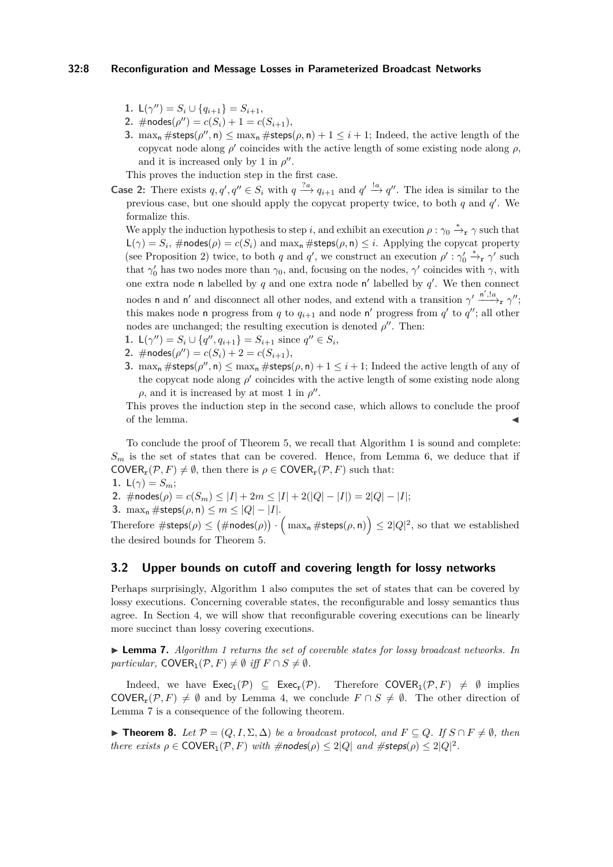# **32:8 Reconfiguration and Message Losses in Parameterized Broadcast Networks**

- **1.**  $L(\gamma'') = S_i \cup \{q_{i+1}\} = S_{i+1},$
- 2.  $\#nodes(\rho'') = c(S_i) + 1 = c(S_{i+1}),$
- **3.** max<sub>n</sub>  $\# \text{steps}(\rho'', \mathsf{n}) \leq \max_{\mathsf{n}} \# \text{steps}(\rho, \mathsf{n}) + 1 \leq i + 1$ ; Indeed, the active length of the copycat node along  $\rho'$  coincides with the active length of some existing node along  $\rho$ , and it is increased only by 1 in  $\rho''$ .

This proves the induction step in the first case.

**Case 2:** There exists  $q, q', q'' \in S_i$  with  $q \stackrel{?a}{\longrightarrow} q_{i+1}$  and  $q' \stackrel{!a}{\longrightarrow} q''$ . The idea is similar to the previous case, but one should apply the copycat property twice, to both *q* and *q'*. We formalize this.

We apply the induction hypothesis to step *i*, and exhibit an execution  $\rho : \gamma_0 \stackrel{*}{\to} r \gamma$  such that  $\mathsf{L}(\gamma) = S_i$ ,  $\# \mathsf{nodes}(\rho) = c(S_i)$  and  $\max_{\mathsf{n}} \# \mathsf{steps}(\rho, \mathsf{n}) \leq i$ . Applying the copycat property (see Proposition [2\)](#page-4-0) twice, to both *q* and *q*', we construct an execution  $\rho' : \gamma'_0 \stackrel{*}{\to} r \gamma'$  such that  $\gamma'_0$  has two nodes more than  $\gamma_0$ , and, focusing on the nodes,  $\gamma'$  coincides with  $\gamma$ , with one extra node n labelled by  $q$  and one extra node  $n'$  labelled by  $q'$ . We then connect nodes **n** and **n'** and disconnect all other nodes, and extend with a transition  $\gamma' \xrightarrow{n',a} \gamma''$ ; this makes node n progress from *q* to  $q_{i+1}$  and node n' progress from  $q'$  to  $q''$ ; all other nodes are unchanged; the resulting execution is denoted  $\rho''$ . Then:

- **1.**  $L(\gamma'') = S_i \cup \{q'', q_{i+1}\} = S_{i+1}$  since  $q'' \in S_i$ ,
- **2.** #nodes( $\rho$ ") =  $c(S_i) + 2 = c(S_{i+1}),$
- <span id="page-7-2"></span>**3.** max<sub>n</sub>  $\# \text{steps}(\rho'', \text{n}) \leq \max_{\text{n}} \# \text{steps}(\rho, \text{n}) + 1 \leq i + 1$ ; Indeed the active length of any of the copycat node along  $\rho'$  coincides with the active length of some existing node along  $\rho$ , and it is increased by at most 1 in  $\rho''$ .

This proves the induction step in the second case, which allows to conclude the proof of the lemma.

To conclude the proof of Theorem [5,](#page-6-1) we recall that Algorithm [1](#page-6-0) is sound and complete:  $S_m$  is the set of states that can be covered. Hence, from Lemma [6,](#page-6-2) we deduce that if  $\mathsf{COVER}_{\mathbf{r}}(\mathcal{P}, F) \neq \emptyset$ , then there is  $\rho \in \mathsf{COVER}_{\mathbf{r}}(\mathcal{P}, F)$  such that:

- **1.**  $L(\gamma) = S_m$ ;
- 2.  $\#nodes(\rho) = c(S_m) \leq |I| + 2m \leq |I| + 2(|Q| |I|) = 2|Q| |I|;$
- **3.**  $\max_{n} \# \text{steps}(\rho, n) \leq m \leq |Q| |I|.$

Therefore  $\#\mathsf{steps}(\rho) \leq \big(\#\mathsf{nodes}(\rho)\big) \cdot \Big(\max_\mathsf{n} \#\mathsf{steps}(\rho, \mathsf{n})\Big) \leq 2|Q|^2, \text{ so that we established}$ the desired bounds for Theorem [5.](#page-6-1)

# **3.2 Upper bounds on cutoff and covering length for lossy networks**

Perhaps surprisingly, Algorithm [1](#page-6-0) also computes the set of states that can be covered by lossy executions. Concerning coverable states, the reconfigurable and lossy semantics thus agree. In Section [4,](#page-11-0) we will show that reconfigurable covering executions can be linearly more succinct than lossy covering executions.

<span id="page-7-0"></span>I **Lemma 7.** *Algorithm [1](#page-6-0) returns the set of coverable states for lossy broadcast networks. In particular,* COVER<sub>1</sub>( $P, F$ )  $\neq \emptyset$  *iff*  $F \cap S \neq \emptyset$ *.* 

Indeed, we have  $\mathsf{Exec}_1(\mathcal{P}) \subseteq \mathsf{Exec}_r(\mathcal{P})$ . Therefore  $\mathsf{COVER}_1(\mathcal{P}, F) \neq \emptyset$  implies COVER<sub>r</sub>(P, F)  $\neq \emptyset$  and by Lemma [4,](#page-6-3) we conclude  $F \cap S \neq \emptyset$ . The other direction of Lemma [7](#page-7-0) is a consequence of the following theorem.

<span id="page-7-1"></span> $▶$  **Theorem 8.** *Let*  $P = (Q, I, \Sigma, \Delta)$  *be a broadcast protocol, and*  $F \subseteq Q$ *. If*  $S \cap F \neq \emptyset$ *, then there exists*  $\rho \in \text{COVER}_1(\mathcal{P}, F)$  *with*  $\# \text{nodes}(\rho) \leq 2|Q|$  *and*  $\# \text{steps}(\rho) \leq 2|Q|^2$ .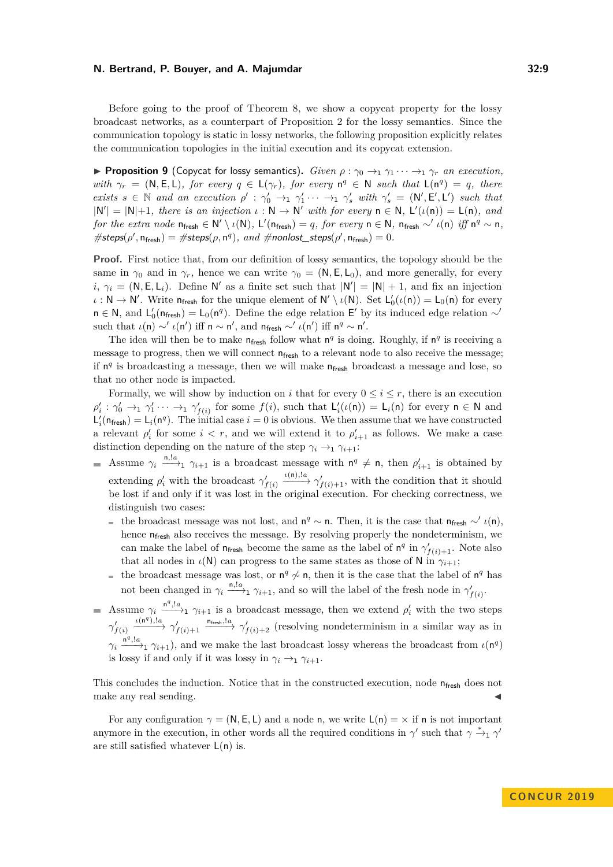Before going to the proof of Theorem [8,](#page-7-1) we show a copycat property for the lossy broadcast networks, as a counterpart of Proposition [2](#page-4-0) for the lossy semantics. Since the communication topology is static in lossy networks, the following proposition explicitly relates the communication topologies in the initial execution and its copycat extension.

<span id="page-8-0"></span>**Proposition 9** (Copycat for lossy semantics). *Given*  $\rho : \gamma_0 \to_1 \gamma_1 \cdots \to_1 \gamma_r$  *an execution, with*  $\gamma_r = (\mathsf{N}, \mathsf{E}, \mathsf{L})$ *, for every*  $q \in \mathsf{L}(\gamma_r)$ *, for every*  $\mathsf{n}^q \in \mathsf{N}$  such that  $\mathsf{L}(\mathsf{n}^q) = q$ *, there exists*  $s \in \mathbb{N}$  and an execution  $\rho' : \gamma'_0 \to_1 \gamma'_1 \cdots \to_1 \gamma'_s$  with  $\gamma'_s = (\mathsf{N}', \mathsf{E}', \mathsf{L}')$  such that  $|N'| = |N|+1$ *, there is an injection*  $\iota : N \to N'$  with for every  $n \in N$ ,  $L'(\iota(n)) = L(n)$ *, and for the extra node*  $n_{\text{fresh}} \in N' \setminus \iota(N)$ *,*  $L'(n_{\text{fresh}}) = q$ *, for every*  $n \in N$ *,*  $n_{\text{fresh}} \sim' \iota(n)$  *iff*  $n^q \sim n$ *,*  $\# \text{steps}(\rho', \mathsf{n}_{\text{fresh}}) = \# \text{steps}(\rho, \mathsf{n}^q), \text{ and } \# \text{nonlost\_steps}(\rho', \mathsf{n}_{\text{fresh}}) = 0.$ 

**Proof.** First notice that, from our definition of lossy semantics, the topology should be the same in  $\gamma_0$  and in  $\gamma_r$ , hence we can write  $\gamma_0 = (N, E, L_0)$ , and more generally, for every *i*,  $\gamma_i = (N, E, L_i)$ . Define N' as a finite set such that  $|N'| = |N| + 1$ , and fix an injection  $\iota : \mathsf{N} \to \mathsf{N}'$ . Write  $n_{\text{fresh}}$  for the unique element of  $\mathsf{N}' \setminus \iota(\mathsf{N})$ . Set  $\mathsf{L}'_0(\iota(\mathsf{n})) = \mathsf{L}_0(\mathsf{n})$  for every  $n \in \mathbb{N}$ , and  $L'_0(n_{\text{fcsh}}) = L_0(n^q)$ . Define the edge relation E' by its induced edge relation ∼' such that  $\iota(\mathsf{n}) \sim' \iota(\mathsf{n}')$  iff  $\mathsf{n} \sim \mathsf{n}'$ , and  $\mathsf{n}_{\mathsf{fresh}} \sim' \iota(\mathsf{n}')$  iff  $\mathsf{n}^q \sim \mathsf{n}'.$ 

The idea will then be to make  $n_{\text{fresh}}$  follow what  $n^q$  is doing. Roughly, if  $n^q$  is receiving a message to progress, then we will connect  $n_{\text{fresh}}$  to a relevant node to also receive the message; if  $n<sup>q</sup>$  is broadcasting a message, then we will make  $n<sub>fresh</sub>$  broadcast a message and lose, so that no other node is impacted.

Formally, we will show by induction on *i* that for every  $0 \le i \le r$ , there is an execution  $\rho'_i : \gamma'_0 \to_1 \gamma'_1 \cdots \to_1 \gamma'_{f(i)}$  for some  $f(i)$ , such that  $\mathsf{L}'_i(\iota(\mathsf{n})) = \mathsf{L}_i(\mathsf{n})$  for every  $\mathsf{n} \in \mathsf{N}$  and  $\mathsf{L}'_i(\mathsf{n}_{\mathsf{fresh}}) = \mathsf{L}_i(\mathsf{n}^q)$ . The initial case  $i = 0$  is obvious. We then assume that we have constructed a relevant  $\rho'_i$  for some  $i < r$ , and we will extend it to  $\rho'_{i+1}$  as follows. We make a case distinction depending on the nature of the step  $\gamma_i \rightarrow_1 \gamma_{i+1}$ :

- Assume  $\gamma_i \stackrel{\mathbf{n},!a}{\longrightarrow}_1 \gamma_{i+1}$  is a broadcast message with  $\mathbf{n}^q \neq \mathbf{n}$ , then  $\rho'_{i+1}$  is obtained by extending  $\rho'_i$  with the broadcast  $\gamma'_{f(i)}$  $\longrightarrow$ <sup>*ι*(n),!*a*</sup>  $\longrightarrow$   $\gamma'_{f(i)+1}$ , with the condition that it should be lost if and only if it was lost in the original execution. For checking correctness, we distinguish two cases:
	- the broadcast message was not lost, and  $n^q \sim n$ . Then, it is the case that  $n_{\text{fresh}} \sim' \iota(n)$ , hence  $n_{\text{fresh}}$  also receives the message. By resolving properly the nondeterminism, we can make the label of  $n_{\text{fresh}}$  become the same as the label of  $n^q$  in  $\gamma'_{f(i)+1}$ . Note also that all nodes in  $\iota(\mathsf{N})$  can progress to the same states as those of N in  $\gamma_{i+1}$ ;
	- the broadcast message was lost, or  $n^q \nsim n$ , then it is the case that the label of  $n^q$  has  $\overline{\phantom{a}}$ not been changed in  $\gamma_i \stackrel{\mathsf{n},!a}{\longrightarrow} \gamma_{i+1}$ , and so will the label of the fresh node in  $\gamma'_{f(i)}$ .
- Assume  $\gamma_i \stackrel{n^q, l_a}{\longrightarrow}_1 \gamma_{i+1}$  is a broadcast message, then we extend  $\rho'_i$  with the two steps  $\gamma'_{f(i)}$  $\xrightarrow{\iota(\mathsf{n}^q),!a} \gamma'_{f(i)+1}$  $\longrightarrow$ <sup> $n_{\text{fresh}}$ ,! $a$   $\longrightarrow$   $\gamma'_{f(i)+2}$  (resolving nondeterminism in a similar way as in</sup>  $\gamma_i \stackrel{n^q, l_a}{\longrightarrow}_1 \gamma_{i+1}$ , and we make the last broadcast lossy whereas the broadcast from *ι*(n<sup>*q*</sup>) is lossy if and only if it was lossy in  $\gamma_i \rightarrow_1 \gamma_{i+1}$ .

This concludes the induction. Notice that in the constructed execution, node  $n_{\text{free}}$  does not make any real sending.

For any configuration  $\gamma = (N, E, L)$  and a node n, we write  $L(n) = \chi$  if n is not important anymore in the execution, in other words all the required conditions in  $\gamma'$  such that  $\gamma \stackrel{*}{\rightarrow}_1 \gamma'$ are still satisfied whatever  $L(n)$  is.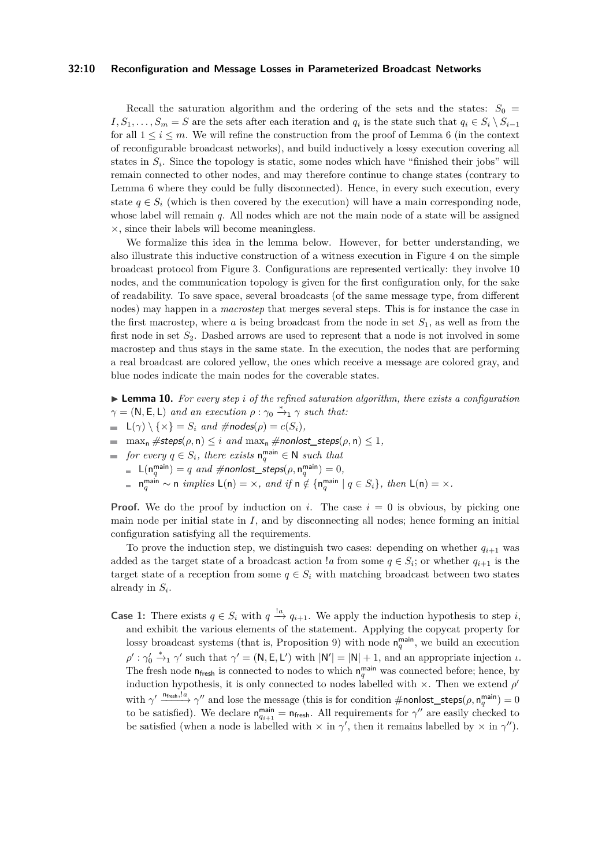### **32:10 Reconfiguration and Message Losses in Parameterized Broadcast Networks**

Recall the saturation algorithm and the ordering of the sets and the states:  $S_0$  $I, S_1, \ldots, S_m = S$  are the sets after each iteration and  $q_i$  is the state such that  $q_i \in S_i \setminus S_{i-1}$ for all  $1 \leq i \leq m$ . We will refine the construction from the proof of Lemma [6](#page-6-2) (in the context of reconfigurable broadcast networks), and build inductively a lossy execution covering all states in  $S_i$ . Since the topology is static, some nodes which have "finished their jobs" will remain connected to other nodes, and may therefore continue to change states (contrary to Lemma [6](#page-6-2) where they could be fully disconnected). Hence, in every such execution, every state  $q \in S_i$  (which is then covered by the execution) will have a main corresponding node, whose label will remain *q*. All nodes which are not the main node of a state will be assigned ×, since their labels will become meaningless.

We formalize this idea in the lemma below. However, for better understanding, we also illustrate this inductive construction of a witness execution in Figure [4](#page-10-0) on the simple broadcast protocol from Figure [3.](#page-10-0) Configurations are represented vertically: they involve 10 nodes, and the communication topology is given for the first configuration only, for the sake of readability. To save space, several broadcasts (of the same message type, from different nodes) may happen in a *macrostep* that merges several steps. This is for instance the case in the first macrostep, where *a* is being broadcast from the node in set  $S_1$ , as well as from the first node in set *S*2. Dashed arrows are used to represent that a node is not involved in some macrostep and thus stays in the same state. In the execution, the nodes that are performing a real broadcast are colored yellow, the ones which receive a message are colored gray, and blue nodes indicate the main nodes for the coverable states.

 $\blacktriangleright$  **Lemma 10.** For every step *i* of the refined saturation algorithm, there exists a configuration  $\gamma = (\mathsf{N}, \mathsf{E}, \mathsf{L})$  *and an execution*  $\rho : \gamma_0 \stackrel{*}{\rightarrow}_1 \gamma$  *such that:* 

- $\blacksquare$   $\mathsf{L}(\gamma) \setminus \{ \times \} = S_i$  *and*  $\# nodes(\rho) = c(S_i)$ *,*
- $\blacksquare$  max<sub>n</sub> #steps( $\rho$ , n)  $\leq i$  *and* max<sub>n</sub> #nonlost\_steps( $\rho$ , n)  $\leq 1$ *,*
- *for every*  $q \in S_i$ , there exists  $n_q^{\text{main}} \in \mathbb{N}$  such that
	- $\mathsf{L}(\mathsf{n}_q^{\mathsf{main}}) = q$  *and* #nonlost\_steps $(\rho, \mathsf{n}_q^{\mathsf{main}}) = 0,$
	- $n_q^{\text{main}} \sim n \text{ implies } L(n) = \times$ *, and if*  $n \notin \{n_q^{\text{main}} \mid q \in S_i\}$ *, then*  $L(n) = \times$ *.*

**Proof.** We do the proof by induction on *i*. The case  $i = 0$  is obvious, by picking one main node per initial state in *I*, and by disconnecting all nodes; hence forming an initial configuration satisfying all the requirements.

To prove the induction step, we distinguish two cases: depending on whether  $q_{i+1}$  was added as the target state of a broadcast action  $a$  from some  $q \in S_i$ ; or whether  $q_{i+1}$  is the target state of a reception from some  $q \in S_i$  with matching broadcast between two states already in *S<sup>i</sup>* .

**Case 1:** There exists  $q \in S_i$  with  $q \stackrel{!a}{\longrightarrow} q_{i+1}$ . We apply the induction hypothesis to step *i*, and exhibit the various elements of the statement. Applying the copycat property for lossy broadcast systems (that is, Proposition [9\)](#page-8-0) with node  $n_q^{\text{main}}$ , we build an execution  $\rho'$  :  $\gamma'_0 \stackrel{*}{\rightarrow}_1 \gamma'$  such that  $\gamma' = (\mathsf{N}, \mathsf{E}, \mathsf{L}')$  with  $|\mathsf{N}'| = |\mathsf{N}| + 1$ , and an appropriate injection *ι*. The fresh node  $n_{\text{fresh}}$  is connected to nodes to which  $n_q^{\text{main}}$  was connected before; hence, by induction hypothesis, it is only connected to nodes labelled with  $\times$ . Then we extend  $\rho'$ with  $\gamma' \xrightarrow{n_{\text{fresh}}, l_a} \gamma''$  and lose the message (this is for condition #nonlost\_steps( $\rho, n_q^{\text{main}}$ ) = 0 to be satisfied). We declare  $n_{q_{i+1}}^{\text{main}} = n_{\text{fresh}}$ . All requirements for  $\gamma''$  are easily checked to be satisfied (when a node is labelled with  $\times$  in  $\gamma'$ , then it remains labelled by  $\times$  in  $\gamma''$ ).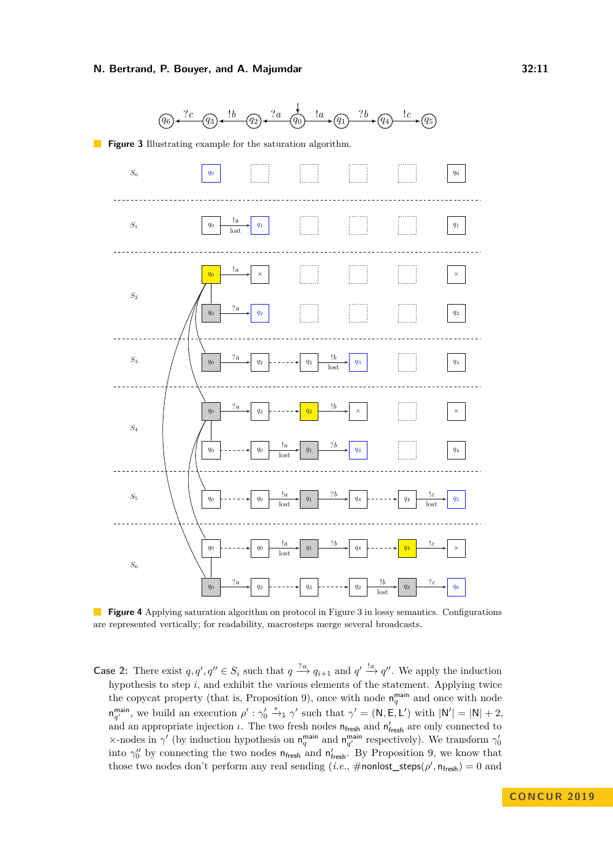<span id="page-10-0"></span>

 $\mathcal{L}_{\mathcal{A}}$ **Figure 4** Applying saturation algorithm on protocol in Figure [3](#page-10-0) in lossy semantics. Configurations are represented vertically; for readability, macrosteps merge several broadcasts.

**Case 2:** There exist  $q, q', q'' \in S_i$  such that  $q \stackrel{?a}{\longrightarrow} q_{i+1}$  and  $q' \stackrel{!a}{\longrightarrow} q''$ . We apply the induction hypothesis to step *i*, and exhibit the various elements of the statement. Applying twice the copycat property (that is, Proposition [9\)](#page-8-0), once with node  $n_q^{\text{main}}$  and once with node  $n_{q'}^{\text{main}}$ , we build an execution  $\rho' : \gamma_0' \stackrel{*}{\rightarrow}_1 \gamma'$  such that  $\gamma' = (\mathsf{N}, \mathsf{E}, \mathsf{L}')$  with  $|\mathsf{N}'| = |\mathsf{N}| + 2$ , and an appropriate injection  $\iota$ . The two fresh nodes  $n_{\text{fresh}}$  and  $n'_{\text{fresh}}$  are only connected to  $\times$ -nodes in  $\gamma'$  (by induction hypothesis on  $n_q^{\text{main}}$  and  $n_{q'}^{\text{main}}$  respectively). We transform  $\gamma'_0$ into  $\gamma_0''$  by connecting the two nodes  $n_{\text{fresh}}$  and  $n'_{\text{fresh}}$ . By Proposition [9,](#page-8-0) we know that those two nodes don't perform any real sending (*i.e.*,  $\#$ **nonlost\_steps**( $\rho'$ ,  $n_{\text{fresh}}$ ) = 0 and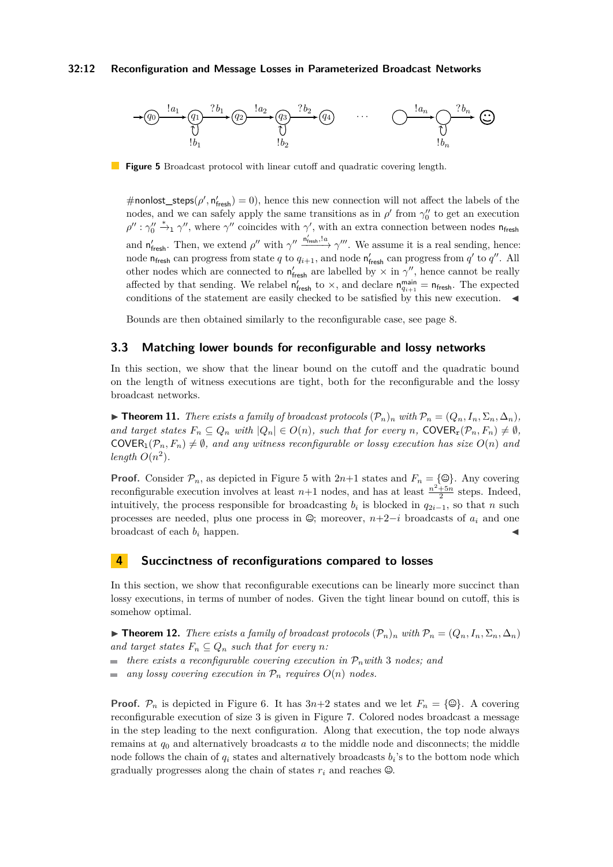### **32:12 Reconfiguration and Message Losses in Parameterized Broadcast Networks**

<span id="page-11-1"></span>

**Figure 5** Broadcast protocol with linear cutoff and quadratic covering length.

 $\#$ nonlost\_steps( $\rho', n'_{\text{fresh}}$ ) = 0), hence this new connection will not affect the labels of the nodes, and we can safely apply the same transitions as in  $\rho'$  from  $\gamma''_0$  to get an execution  $\rho''$ :  $\gamma_0'' \stackrel{*}{\rightarrow}_1 \gamma''$ , where  $\gamma''$  coincides with  $\gamma'$ , with an extra connection between nodes n<sub>fresh</sub> and  $n'_{\text{fresh}}$ . Then, we extend  $\rho''$  with  $\gamma'' \frac{n'_{\text{w}}!a}{\gamma''} \gamma'''$ . We assume it is a real sending, hence: node  $n_{\text{fresh}}$  can progress from state *q* to  $q_{i+1}$ , and node  $n'_{\text{mesh}}$  can progress from *q'* to *q''*. All other nodes which are connected to  $n'_{\text{fresh}}$  are labelled by  $\times$  in  $\gamma''$ , hence cannot be really affected by that sending. We relabel  $n'_{\text{fresh}}$  to  $\times$ , and declare  $n_{q_{i+1}}^{\text{main}} = n_{\text{fresh}}$ . The expected conditions of the statement are easily checked to be satisfied by this new execution.  $\blacktriangleleft$ 

Bounds are then obtained similarly to the reconfigurable case, see page [8.](#page-7-2)

# **3.3 Matching lower bounds for reconfigurable and lossy networks**

In this section, we show that the linear bound on the cutoff and the quadratic bound on the length of witness executions are tight, both for the reconfigurable and the lossy broadcast networks.

▶ **Theorem 11.** *There exists a family of broadcast protocols*  $(\mathcal{P}_n)_n$  *with*  $\mathcal{P}_n = (Q_n, I_n, \Sigma_n, \Delta_n)$ *, and target states*  $F_n \subseteq Q_n$  *with*  $|Q_n| \in O(n)$ *, such that for every n*, COVER<sub>r</sub> $(\mathcal{P}_n, F_n) \neq \emptyset$ *,* COVER<sub>1</sub> $(P_n, F_n) \neq \emptyset$ , and any witness reconfigurable or lossy execution has size  $O(n)$  and length  $O(n^2)$ .

**Proof.** Consider  $\mathcal{P}_n$ , as depicted in Figure [5](#page-11-1) with  $2n+1$  states and  $F_n = \{\mathcal{Q}\}\$ . Any covering reconfigurable execution involves at least  $n+1$  nodes, and has at least  $\frac{n^2+5n}{2}$  steps. Indeed, intuitively, the process responsible for broadcasting  $b_i$  is blocked in  $q_{2i-1}$ , so that *n* such processes are needed, plus one process in  $\mathcal{Q}$ ; moreover, *n*+2−*i* broadcasts of  $a_i$  and one broadcast of each  $b_i$  happen.

# <span id="page-11-0"></span>**4 Succinctness of reconfigurations compared to losses**

In this section, we show that reconfigurable executions can be linearly more succinct than lossy executions, in terms of number of nodes. Given the tight linear bound on cutoff, this is somehow optimal.

 $\triangleright$  **Theorem 12.** *There exists a family of broadcast protocols*  $(\mathcal{P}_n)_n$  *with*  $\mathcal{P}_n = (Q_n, I_n, \Sigma_n, \Delta_n)$ *and target states*  $F_n \subseteq Q_n$  *such that for every n*:

- $\blacksquare$  *there exists a reconfigurable covering execution in*  $\mathcal{P}_n$ *with* 3 *nodes; and*
- *any lossy covering execution in*  $P_n$  *requires*  $O(n)$  *nodes.*

**Proof.**  $\mathcal{P}_n$  is depicted in Figure [6.](#page-12-1) It has  $3n+2$  states and we let  $F_n = \{\mathcal{Q}\}\$ . A covering reconfigurable execution of size 3 is given in Figure [7.](#page-12-1) Colored nodes broadcast a message in the step leading to the next configuration. Along that execution, the top node always remains at *q*<sup>0</sup> and alternatively broadcasts *a* to the middle node and disconnects; the middle node follows the chain of *q<sup>i</sup>* states and alternatively broadcasts *b<sup>i</sup>* 's to the bottom node which gradually progresses along the chain of states  $r_i$  and reaches  $\mathcal{Q}$ .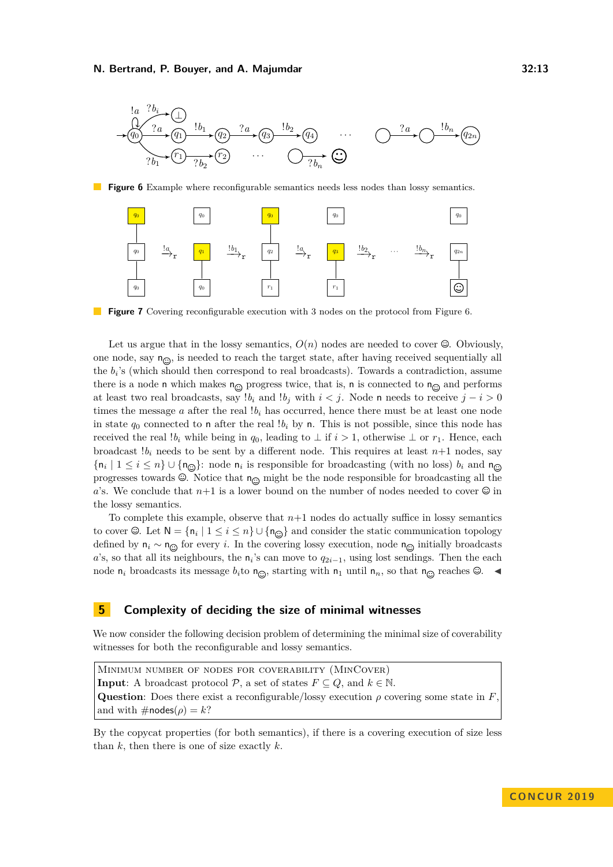<span id="page-12-1"></span>

**Figure 6** Example where reconfigurable semantics needs less nodes than lossy semantics.



**Figure 7** Covering reconfigurable execution with 3 nodes on the protocol from Figure [6.](#page-12-1)

Let us argue that in the lossy semantics,  $O(n)$  nodes are needed to cover  $\mathcal{Q}$ . Obviously, one node, say  $n_{\odot}$ , is needed to reach the target state, after having received sequentially all the  $b_i$ 's (which should then correspond to real broadcasts). Towards a contradiction, assume there is a node n which makes  $n_{\odot}$  progress twice, that is, n is connected to  $n_{\odot}$  and performs at least two real broadcasts, say *!b<sub>i</sub>* and *!b<sub>j</sub>* with  $i < j$ . Node n needs to receive  $j - i > 0$ times the message  $a$  after the real  $b_i$  has occurred, hence there must be at least one node in state  $q_0$  connected to **n** after the real  $!b_i$  by **n**. This is not possible, since this node has received the real  $!b_i$  while being in  $q_0$ , leading to  $\perp$  if  $i > 1$ , otherwise  $\perp$  or  $r_1$ . Hence, each broadcast  $b_i$  needs to be sent by a different node. This requires at least  $n+1$  nodes, say  $\{\mathsf{n}_i \mid 1 \leq i \leq n\} \cup \{\mathsf{n}_{\odot}\}\$ : node  $\mathsf{n}_i$  is responsible for broadcasting (with no loss)  $b_i$  and  $\mathsf{n}_i$ progresses towards  $\mathcal{Q}$ . Notice that  $n_{\mathcal{Q}}$  might be the node responsible for broadcasting all the *a*'s. We conclude that  $n+1$  is a lower bound on the number of nodes needed to cover  $\mathcal{Q}$  in the lossy semantics.

To complete this example, observe that *n*+1 nodes do actually suffice in lossy semantics to cover  $\Theta$ . Let  $\mathsf{N} = \{\mathsf{n}_i \mid 1 \leq i \leq n\} \cup \{\mathsf{n}_{\widehat{\Theta}}\}$  and consider the static communication topology defined by  $n_i \sim n_{\odot}$  for every *i*. In the covering lossy execution, node  $n_{\odot}$  initially broadcasts *a*'s, so that all its neighbours, the  $n_i$ 's can move to  $q_{2i-1}$ , using lost sendings. Then the each node  $n_i$  broadcasts its message  $b_i$ to  $n_{\odot}$ , starting with  $n_1$  until  $n_n$ , so that  $n_{\odot}$  reaches  $\odot$ .

# <span id="page-12-0"></span>**5 Complexity of deciding the size of minimal witnesses**

We now consider the following decision problem of determining the minimal size of coverability witnesses for both the reconfigurable and lossy semantics.

Minimum number of nodes for coverability (MinCover) **Input:** A broadcast protocol  $P$ , a set of states  $F \subseteq Q$ , and  $k \in \mathbb{N}$ . **Question**: Does there exist a reconfigurable/lossy execution  $\rho$  covering some state in *F*, and with  $\#$ nodes( $\rho$ ) = *k*?

By the copycat properties (for both semantics), if there is a covering execution of size less than *k*, then there is one of size exactly *k*.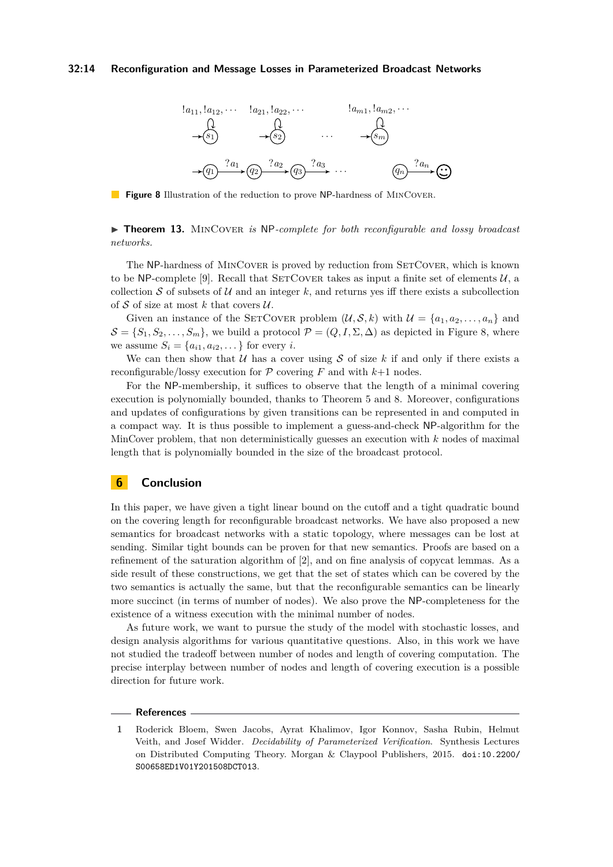### <span id="page-13-1"></span>**32:14 Reconfiguration and Message Losses in Parameterized Broadcast Networks**



**Figure 8** Illustration of the reduction to prove NP-hardness of MINCOVER.

▶ **Theorem 13.** MINCOVER *is* NP-complete for both reconfigurable and lossy broadcast *networks.*

The NP-hardness of MINCOVER is proved by reduction from SETCOVER, which is known to be NP-complete [\[9\]](#page-14-10). Recall that SETCOVER takes as input a finite set of elements  $U$ , a collection S of subsets of  $\mathcal U$  and an integer  $k$ , and returns yes iff there exists a subcollection of  $S$  of size at most  $k$  that covers  $U$ .

Given an instance of the SETCOVER problem  $(U, \mathcal{S}, k)$  with  $U = \{a_1, a_2, \ldots, a_n\}$  and  $S = \{S_1, S_2, \ldots, S_m\}$ , we build a protocol  $\mathcal{P} = (Q, I, \Sigma, \Delta)$  as depicted in Figure [8,](#page-13-1) where we assume  $S_i = \{a_{i1}, a_{i2}, \dots\}$  for every *i*.

We can then show that  $U$  has a cover using  $S$  of size  $k$  if and only if there exists a reconfigurable/lossy execution for  $P$  covering  $F$  and with  $k+1$  nodes.

For the NP-membership, it suffices to observe that the length of a minimal covering execution is polynomially bounded, thanks to Theorem [5](#page-6-1) and [8.](#page-7-1) Moreover, configurations and updates of configurations by given transitions can be represented in and computed in a compact way. It is thus possible to implement a guess-and-check NP-algorithm for the MinCover problem, that non deterministically guesses an execution with *k* nodes of maximal length that is polynomially bounded in the size of the broadcast protocol.

# **6 Conclusion**

In this paper, we have given a tight linear bound on the cutoff and a tight quadratic bound on the covering length for reconfigurable broadcast networks. We have also proposed a new semantics for broadcast networks with a static topology, where messages can be lost at sending. Similar tight bounds can be proven for that new semantics. Proofs are based on a refinement of the saturation algorithm of [\[2\]](#page-14-6), and on fine analysis of copycat lemmas. As a side result of these constructions, we get that the set of states which can be covered by the two semantics is actually the same, but that the reconfigurable semantics can be linearly more succinct (in terms of number of nodes). We also prove the NP-completeness for the existence of a witness execution with the minimal number of nodes.

As future work, we want to pursue the study of the model with stochastic losses, and design analysis algorithms for various quantitative questions. Also, in this work we have not studied the tradeoff between number of nodes and length of covering computation. The precise interplay between number of nodes and length of covering execution is a possible direction for future work.

### **References**

<span id="page-13-0"></span>**<sup>1</sup>** Roderick Bloem, Swen Jacobs, Ayrat Khalimov, Igor Konnov, Sasha Rubin, Helmut Veith, and Josef Widder. *Decidability of Parameterized Verification*. Synthesis Lectures on Distributed Computing Theory. Morgan & Claypool Publishers, 2015. [doi:10.2200/](http://dx.doi.org/10.2200/S00658ED1V01Y201508DCT013) [S00658ED1V01Y201508DCT013](http://dx.doi.org/10.2200/S00658ED1V01Y201508DCT013).